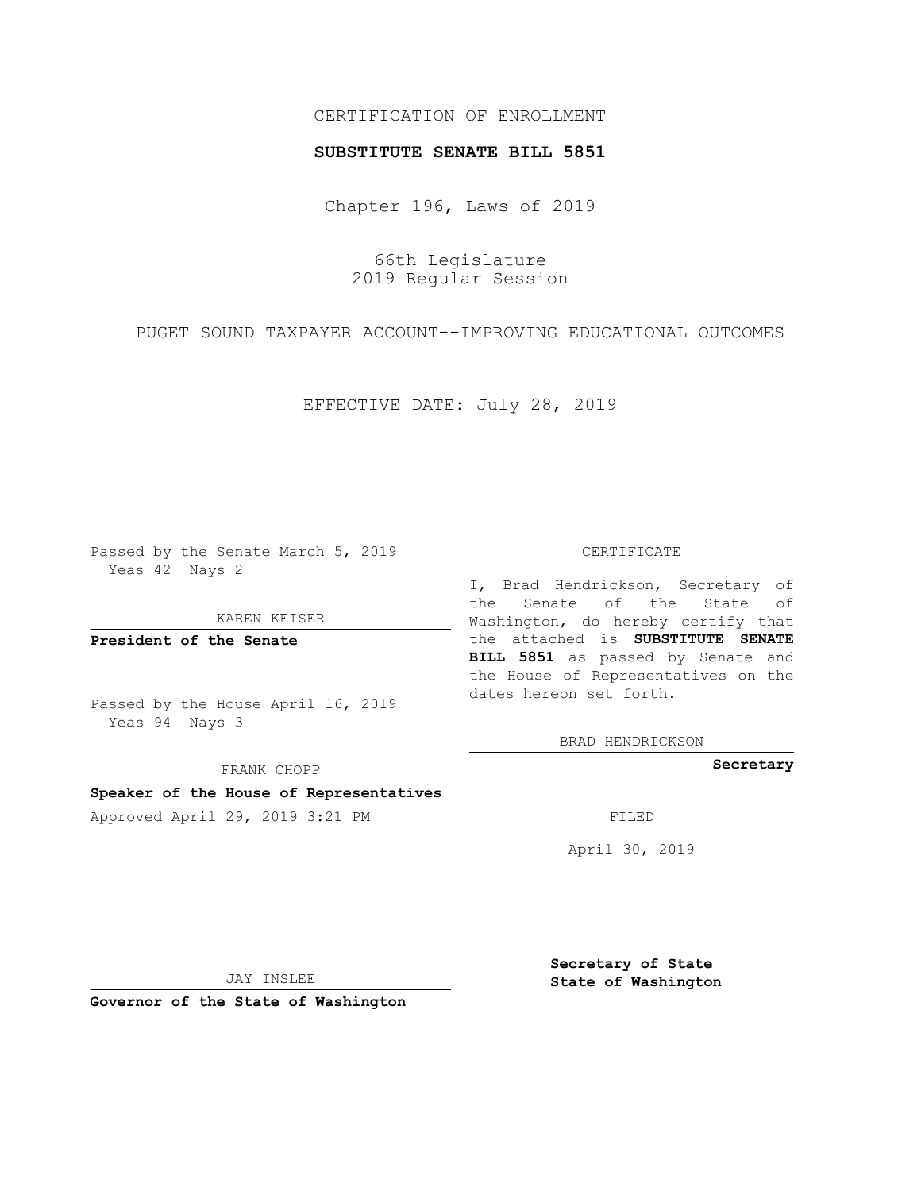## CERTIFICATION OF ENROLLMENT

## **SUBSTITUTE SENATE BILL 5851**

Chapter 196, Laws of 2019

66th Legislature 2019 Regular Session

PUGET SOUND TAXPAYER ACCOUNT--IMPROVING EDUCATIONAL OUTCOMES

EFFECTIVE DATE: July 28, 2019

Passed by the Senate March 5, 2019 Yeas 42 Nays 2

KAREN KEISER

**President of the Senate**

Passed by the House April 16, 2019 Yeas 94 Nays 3

FRANK CHOPP

# **Speaker of the House of Representatives**

Approved April 29, 2019 3:21 PM FILED

#### CERTIFICATE

I, Brad Hendrickson, Secretary of the Senate of the State of Washington, do hereby certify that the attached is **SUBSTITUTE SENATE BILL 5851** as passed by Senate and the House of Representatives on the dates hereon set forth.

BRAD HENDRICKSON

**Secretary**

April 30, 2019

JAY INSLEE

**Governor of the State of Washington**

**Secretary of State State of Washington**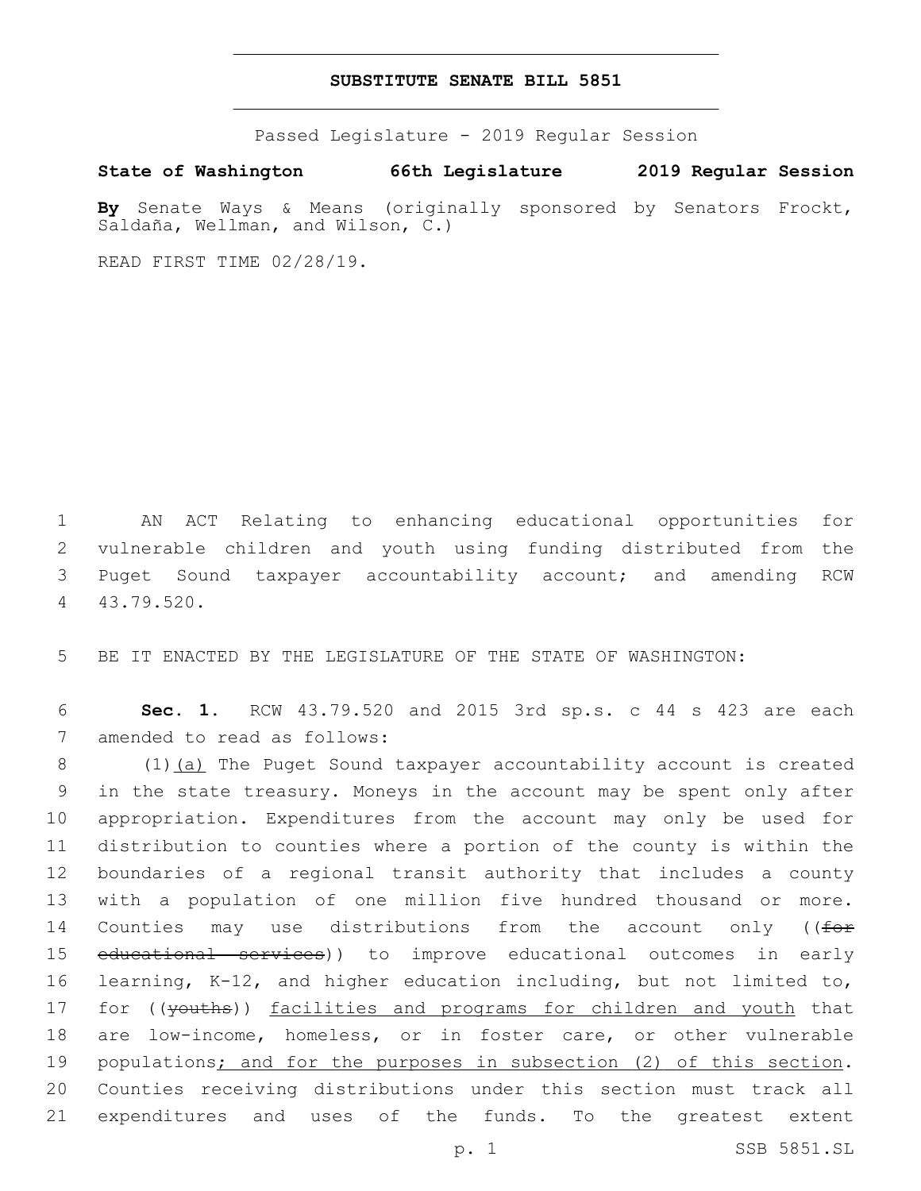## **SUBSTITUTE SENATE BILL 5851**

Passed Legislature - 2019 Regular Session

**State of Washington 66th Legislature 2019 Regular Session**

**By** Senate Ways & Means (originally sponsored by Senators Frockt, Saldaña, Wellman, and Wilson, C.)

READ FIRST TIME 02/28/19.

 AN ACT Relating to enhancing educational opportunities for vulnerable children and youth using funding distributed from the Puget Sound taxpayer accountability account; and amending RCW 43.79.520.4

5 BE IT ENACTED BY THE LEGISLATURE OF THE STATE OF WASHINGTON:

6 **Sec. 1.** RCW 43.79.520 and 2015 3rd sp.s. c 44 s 423 are each 7 amended to read as follows:

8 (1) (a) The Puget Sound taxpayer accountability account is created in the state treasury. Moneys in the account may be spent only after appropriation. Expenditures from the account may only be used for distribution to counties where a portion of the county is within the boundaries of a regional transit authority that includes a county with a population of one million five hundred thousand or more. 14 Counties may use distributions from the account only ((for educational services)) to improve educational outcomes in early learning, K-12, and higher education including, but not limited to, 17 for ((youths)) facilities and programs for children and youth that are low-income, homeless, or in foster care, or other vulnerable populations; and for the purposes in subsection (2) of this section. Counties receiving distributions under this section must track all expenditures and uses of the funds. To the greatest extent